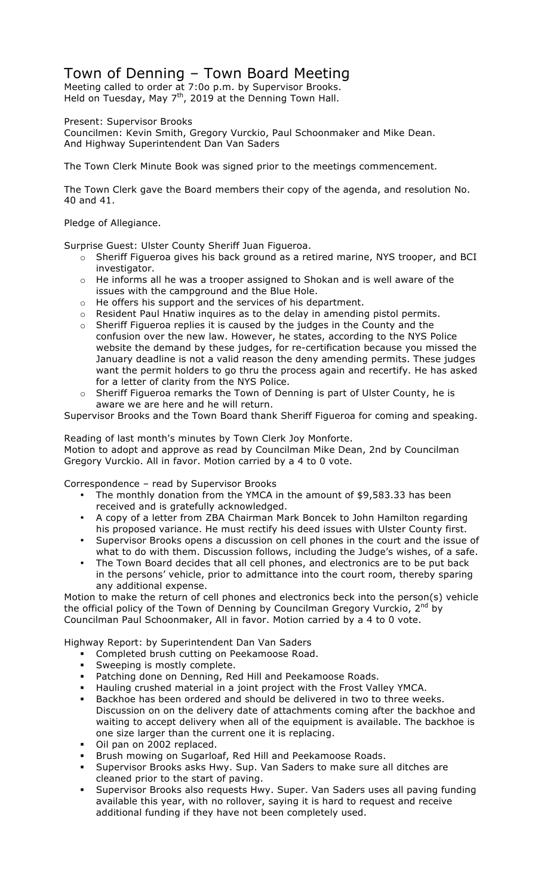## Town of Denning – Town Board Meeting

Meeting called to order at 7:0o p.m. by Supervisor Brooks. Held on Tuesday, May  $7<sup>th</sup>$ , 2019 at the Denning Town Hall.

Present: Supervisor Brooks

Councilmen: Kevin Smith, Gregory Vurckio, Paul Schoonmaker and Mike Dean. And Highway Superintendent Dan Van Saders

The Town Clerk Minute Book was signed prior to the meetings commencement.

The Town Clerk gave the Board members their copy of the agenda, and resolution No. 40 and 41.

Pledge of Allegiance.

Surprise Guest: Ulster County Sheriff Juan Figueroa.

- o Sheriff Figueroa gives his back ground as a retired marine, NYS trooper, and BCI investigator.
- o He informs all he was a trooper assigned to Shokan and is well aware of the issues with the campground and the Blue Hole.
- o He offers his support and the services of his department.
- o Resident Paul Hnatiw inquires as to the delay in amending pistol permits.
- o Sheriff Figueroa replies it is caused by the judges in the County and the confusion over the new law. However, he states, according to the NYS Police website the demand by these judges, for re-certification because you missed the January deadline is not a valid reason the deny amending permits. These judges want the permit holders to go thru the process again and recertify. He has asked for a letter of clarity from the NYS Police.
- o Sheriff Figueroa remarks the Town of Denning is part of Ulster County, he is aware we are here and he will return.

Supervisor Brooks and the Town Board thank Sheriff Figueroa for coming and speaking.

Reading of last month's minutes by Town Clerk Joy Monforte. Motion to adopt and approve as read by Councilman Mike Dean, 2nd by Councilman Gregory Vurckio. All in favor. Motion carried by a 4 to 0 vote.

Correspondence – read by Supervisor Brooks

- The monthly donation from the YMCA in the amount of \$9,583.33 has been received and is gratefully acknowledged.
- A copy of a letter from ZBA Chairman Mark Boncek to John Hamilton regarding his proposed variance. He must rectify his deed issues with Ulster County first.
- Supervisor Brooks opens a discussion on cell phones in the court and the issue of what to do with them. Discussion follows, including the Judge's wishes, of a safe.
- The Town Board decides that all cell phones, and electronics are to be put back in the persons' vehicle, prior to admittance into the court room, thereby sparing any additional expense.

Motion to make the return of cell phones and electronics beck into the person(s) vehicle the official policy of the Town of Denning by Councilman Gregory Vurckio,  $2^{nd}$  by Councilman Paul Schoonmaker, All in favor. Motion carried by a 4 to 0 vote.

Highway Report: by Superintendent Dan Van Saders

- **EXECOMPLEED FIGUREY COMPLETED FIGUREY COMPLETED** Completed brush cutting on Peekamoose Road.
- Sweeping is mostly complete.
- ! Patching done on Denning, Red Hill and Peekamoose Roads.
- ! Hauling crushed material in a joint project with the Frost Valley YMCA.
- Backhoe has been ordered and should be delivered in two to three weeks. Discussion on on the delivery date of attachments coming after the backhoe and waiting to accept delivery when all of the equipment is available. The backhoe is one size larger than the current one it is replacing.
- ! Oil pan on 2002 replaced.
- ! Brush mowing on Sugarloaf, Red Hill and Peekamoose Roads.
- ! Supervisor Brooks asks Hwy. Sup. Van Saders to make sure all ditches are cleaned prior to the start of paving.
- ! Supervisor Brooks also requests Hwy. Super. Van Saders uses all paving funding available this year, with no rollover, saying it is hard to request and receive additional funding if they have not been completely used.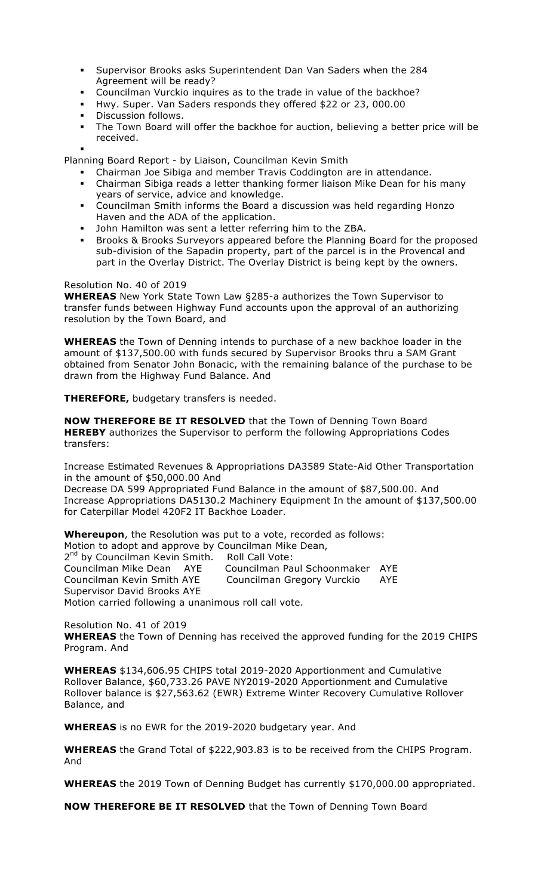- ! Supervisor Brooks asks Superintendent Dan Van Saders when the 284 Agreement will be ready?
- ! Councilman Vurckio inquires as to the trade in value of the backhoe?
- ! Hwy. Super. Van Saders responds they offered \$22 or 23, 000.00
- **•** Discussion follows.
- ! The Town Board will offer the backhoe for auction, believing a better price will be received.

! Planning Board Report - by Liaison, Councilman Kevin Smith

- ! Chairman Joe Sibiga and member Travis Coddington are in attendance.
- ! Chairman Sibiga reads a letter thanking former liaison Mike Dean for his many years of service, advice and knowledge.
- ! Councilman Smith informs the Board a discussion was held regarding Honzo Haven and the ADA of the application.
- ! John Hamilton was sent a letter referring him to the ZBA.
- ! Brooks & Brooks Surveyors appeared before the Planning Board for the proposed sub-division of the Sapadin property, part of the parcel is in the Provencal and part in the Overlay District. The Overlay District is being kept by the owners.

## Resolution No. 40 of 2019

**WHEREAS** New York State Town Law §285-a authorizes the Town Supervisor to transfer funds between Highway Fund accounts upon the approval of an authorizing resolution by the Town Board, and

**WHEREAS** the Town of Denning intends to purchase of a new backhoe loader in the amount of \$137,500.00 with funds secured by Supervisor Brooks thru a SAM Grant obtained from Senator John Bonacic, with the remaining balance of the purchase to be drawn from the Highway Fund Balance. And

**THEREFORE,** budgetary transfers is needed.

**NOW THEREFORE BE IT RESOLVED** that the Town of Denning Town Board **HEREBY** authorizes the Supervisor to perform the following Appropriations Codes transfers:

Increase Estimated Revenues & Appropriations DA3589 State-Aid Other Transportation in the amount of \$50,000.00 And

Decrease DA 599 Appropriated Fund Balance in the amount of \$87,500.00. And Increase Appropriations DA5130.2 Machinery Equipment In the amount of \$137,500.00 for Caterpillar Model 420F2 IT Backhoe Loader.

**Whereupon**, the Resolution was put to a vote, recorded as follows: Motion to adopt and approve by Councilman Mike Dean, 2<sup>nd</sup> by Councilman Kevin Smith. Roll Call Vote: Councilman Mike Dean AYE Councilman Paul Schoonmaker AYE Councilman Kevin Smith AYE Councilman Gregory Vurckio AYE Supervisor David Brooks AYE

Motion carried following a unanimous roll call vote.

Resolution No. 41 of 2019

**WHEREAS** the Town of Denning has received the approved funding for the 2019 CHIPS Program. And

**WHEREAS** \$134,606.95 CHIPS total 2019-2020 Apportionment and Cumulative Rollover Balance, \$60,733.26 PAVE NY2019-2020 Apportionment and Cumulative Rollover balance is \$27,563.62 (EWR) Extreme Winter Recovery Cumulative Rollover Balance, and

**WHEREAS** is no EWR for the 2019-2020 budgetary year. And

**WHEREAS** the Grand Total of \$222,903.83 is to be received from the CHIPS Program. And

**WHEREAS** the 2019 Town of Denning Budget has currently \$170,000.00 appropriated.

**NOW THEREFORE BE IT RESOLVED** that the Town of Denning Town Board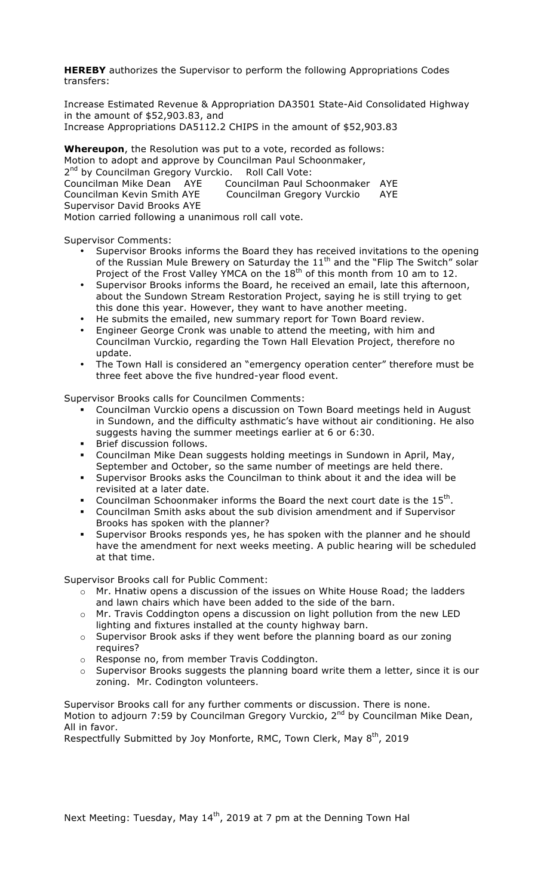**HEREBY** authorizes the Supervisor to perform the following Appropriations Codes transfers:

Increase Estimated Revenue & Appropriation DA3501 State-Aid Consolidated Highway in the amount of \$52,903.83, and Increase Appropriations DA5112.2 CHIPS in the amount of \$52,903.83

**Whereupon**, the Resolution was put to a vote, recorded as follows: Motion to adopt and approve by Councilman Paul Schoonmaker, 2<sup>nd</sup> by Councilman Gregory Vurckio. Roll Call Vote: Councilman Mike Dean AYE Councilman Paul Schoonmaker AYE Councilman Kevin Smith AYE Councilman Gregory Vurckio AYE Supervisor David Brooks AYE Motion carried following a unanimous roll call vote.

Supervisor Comments:

- Supervisor Brooks informs the Board they has received invitations to the opening of the Russian Mule Brewery on Saturday the 11<sup>th</sup> and the "Flip The Switch" solar Project of the Frost Valley YMCA on the  $18<sup>th</sup>$  of this month from 10 am to 12.
- Supervisor Brooks informs the Board, he received an email, late this afternoon, about the Sundown Stream Restoration Project, saying he is still trying to get this done this year. However, they want to have another meeting.
- He submits the emailed, new summary report for Town Board review.
- Engineer George Cronk was unable to attend the meeting, with him and Councilman Vurckio, regarding the Town Hall Elevation Project, therefore no update.
- The Town Hall is considered an "emergency operation center" therefore must be three feet above the five hundred-year flood event.

Supervisor Brooks calls for Councilmen Comments:

- ! Councilman Vurckio opens a discussion on Town Board meetings held in August in Sundown, and the difficulty asthmatic's have without air conditioning. He also suggests having the summer meetings earlier at 6 or 6:30.
- **Brief discussion follows.**
- ! Councilman Mike Dean suggests holding meetings in Sundown in April, May, September and October, so the same number of meetings are held there.
- ! Supervisor Brooks asks the Councilman to think about it and the idea will be revisited at a later date.
- **•** Councilman Schoonmaker informs the Board the next court date is the  $15<sup>th</sup>$ .
- ! Councilman Smith asks about the sub division amendment and if Supervisor Brooks has spoken with the planner?
- ! Supervisor Brooks responds yes, he has spoken with the planner and he should have the amendment for next weeks meeting. A public hearing will be scheduled at that time.

Supervisor Brooks call for Public Comment:

- o Mr. Hnatiw opens a discussion of the issues on White House Road; the ladders and lawn chairs which have been added to the side of the barn.
- o Mr. Travis Coddington opens a discussion on light pollution from the new LED lighting and fixtures installed at the county highway barn.
- o Supervisor Brook asks if they went before the planning board as our zoning requires?
- o Response no, from member Travis Coddington.
- $\circ$  Supervisor Brooks suggests the planning board write them a letter, since it is our zoning. Mr. Codington volunteers.

Supervisor Brooks call for any further comments or discussion. There is none. Motion to adjourn 7:59 by Councilman Gregory Vurckio, 2<sup>nd</sup> by Councilman Mike Dean, All in favor.

Respectfully Submitted by Joy Monforte, RMC, Town Clerk, May 8<sup>th</sup>, 2019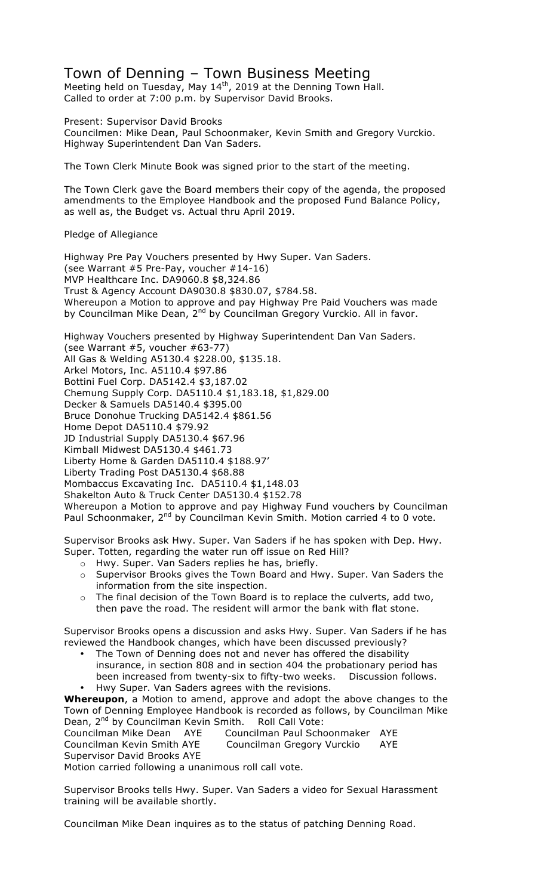## Town of Denning – Town Business Meeting

Meeting held on Tuesday, May 14<sup>th</sup>, 2019 at the Denning Town Hall. Called to order at 7:00 p.m. by Supervisor David Brooks.

Present: Supervisor David Brooks

Councilmen: Mike Dean, Paul Schoonmaker, Kevin Smith and Gregory Vurckio. Highway Superintendent Dan Van Saders.

The Town Clerk Minute Book was signed prior to the start of the meeting.

The Town Clerk gave the Board members their copy of the agenda, the proposed amendments to the Employee Handbook and the proposed Fund Balance Policy, as well as, the Budget vs. Actual thru April 2019.

Pledge of Allegiance

Highway Pre Pay Vouchers presented by Hwy Super. Van Saders. (see Warrant #5 Pre-Pay, voucher #14-16) MVP Healthcare Inc. DA9060.8 \$8,324.86 Trust & Agency Account DA9030.8 \$830.07, \$784.58. Whereupon a Motion to approve and pay Highway Pre Paid Vouchers was made by Councilman Mike Dean, 2<sup>nd</sup> by Councilman Gregory Vurckio. All in favor.

Highway Vouchers presented by Highway Superintendent Dan Van Saders. (see Warrant #5, voucher #63-77) All Gas & Welding A5130.4 \$228.00, \$135.18. Arkel Motors, Inc. A5110.4 \$97.86 Bottini Fuel Corp. DA5142.4 \$3,187.02 Chemung Supply Corp. DA5110.4 \$1,183.18, \$1,829.00 Decker & Samuels DA5140.4 \$395.00 Bruce Donohue Trucking DA5142.4 \$861.56 Home Depot DA5110.4 \$79.92 JD Industrial Supply DA5130.4 \$67.96 Kimball Midwest DA5130.4 \$461.73 Liberty Home & Garden DA5110.4 \$188.97' Liberty Trading Post DA5130.4 \$68.88 Mombaccus Excavating Inc. DA5110.4 \$1,148.03 Shakelton Auto & Truck Center DA5130.4 \$152.78 Whereupon a Motion to approve and pay Highway Fund vouchers by Councilman Paul Schoonmaker, 2<sup>nd</sup> by Councilman Kevin Smith. Motion carried 4 to 0 vote.

Supervisor Brooks ask Hwy. Super. Van Saders if he has spoken with Dep. Hwy. Super. Totten, regarding the water run off issue on Red Hill?

- o Hwy. Super. Van Saders replies he has, briefly.
- o Supervisor Brooks gives the Town Board and Hwy. Super. Van Saders the information from the site inspection.
- o The final decision of the Town Board is to replace the culverts, add two, then pave the road. The resident will armor the bank with flat stone.

Supervisor Brooks opens a discussion and asks Hwy. Super. Van Saders if he has reviewed the Handbook changes, which have been discussed previously?

- The Town of Denning does not and never has offered the disability insurance, in section 808 and in section 404 the probationary period has been increased from twenty-six to fifty-two weeks. Discussion follows.
- Hwy Super. Van Saders agrees with the revisions. **Whereupon**, a Motion to amend, approve and adopt the above changes to the Town of Denning Employee Handbook is recorded as follows, by Councilman Mike Dean, 2<sup>nd</sup> by Councilman Kevin Smith. Roll Call Vote:

Councilman Mike Dean AYE Councilman Paul Schoonmaker AYE Councilman Kevin Smith AYE Councilman Gregory Vurckio AYE Supervisor David Brooks AYE

Motion carried following a unanimous roll call vote.

Supervisor Brooks tells Hwy. Super. Van Saders a video for Sexual Harassment training will be available shortly.

Councilman Mike Dean inquires as to the status of patching Denning Road.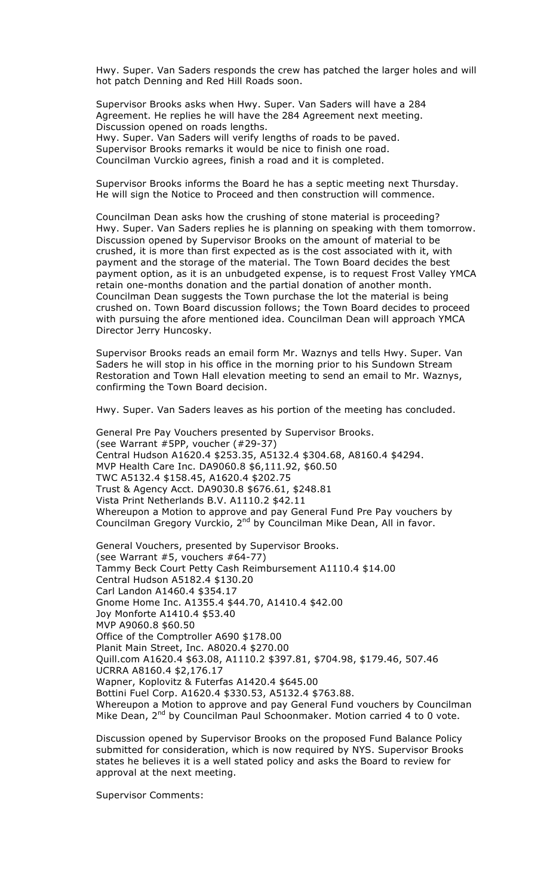Hwy. Super. Van Saders responds the crew has patched the larger holes and will hot patch Denning and Red Hill Roads soon.

Supervisor Brooks asks when Hwy. Super. Van Saders will have a 284 Agreement. He replies he will have the 284 Agreement next meeting. Discussion opened on roads lengths. Hwy. Super. Van Saders will verify lengths of roads to be paved. Supervisor Brooks remarks it would be nice to finish one road. Councilman Vurckio agrees, finish a road and it is completed.

Supervisor Brooks informs the Board he has a septic meeting next Thursday. He will sign the Notice to Proceed and then construction will commence.

Councilman Dean asks how the crushing of stone material is proceeding? Hwy. Super. Van Saders replies he is planning on speaking with them tomorrow. Discussion opened by Supervisor Brooks on the amount of material to be crushed, it is more than first expected as is the cost associated with it, with payment and the storage of the material. The Town Board decides the best payment option, as it is an unbudgeted expense, is to request Frost Valley YMCA retain one-months donation and the partial donation of another month. Councilman Dean suggests the Town purchase the lot the material is being crushed on. Town Board discussion follows; the Town Board decides to proceed with pursuing the afore mentioned idea. Councilman Dean will approach YMCA Director Jerry Huncosky.

Supervisor Brooks reads an email form Mr. Waznys and tells Hwy. Super. Van Saders he will stop in his office in the morning prior to his Sundown Stream Restoration and Town Hall elevation meeting to send an email to Mr. Waznys, confirming the Town Board decision.

Hwy. Super. Van Saders leaves as his portion of the meeting has concluded.

General Pre Pay Vouchers presented by Supervisor Brooks. (see Warrant #5PP, voucher (#29-37) Central Hudson A1620.4 \$253.35, A5132.4 \$304.68, A8160.4 \$4294. MVP Health Care Inc. DA9060.8 \$6,111.92, \$60.50 TWC A5132.4 \$158.45, A1620.4 \$202.75 Trust & Agency Acct. DA9030.8 \$676.61, \$248.81 Vista Print Netherlands B.V. A1110.2 \$42.11 Whereupon a Motion to approve and pay General Fund Pre Pay vouchers by Councilman Gregory Vurckio, 2<sup>nd</sup> by Councilman Mike Dean, All in favor.

General Vouchers, presented by Supervisor Brooks. (see Warrant #5, vouchers #64-77) Tammy Beck Court Petty Cash Reimbursement A1110.4 \$14.00 Central Hudson A5182.4 \$130.20 Carl Landon A1460.4 \$354.17 Gnome Home Inc. A1355.4 \$44.70, A1410.4 \$42.00 Joy Monforte A1410.4 \$53.40 MVP A9060.8 \$60.50 Office of the Comptroller A690 \$178.00 Planit Main Street, Inc. A8020.4 \$270.00 Quill.com A1620.4 \$63.08, A1110.2 \$397.81, \$704.98, \$179.46, 507.46 UCRRA A8160.4 \$2,176.17 Wapner, Koplovitz & Futerfas A1420.4 \$645.00 Bottini Fuel Corp. A1620.4 \$330.53, A5132.4 \$763.88. Whereupon a Motion to approve and pay General Fund vouchers by Councilman Mike Dean, 2<sup>nd</sup> by Councilman Paul Schoonmaker. Motion carried 4 to 0 vote.

Discussion opened by Supervisor Brooks on the proposed Fund Balance Policy submitted for consideration, which is now required by NYS. Supervisor Brooks states he believes it is a well stated policy and asks the Board to review for approval at the next meeting.

Supervisor Comments: